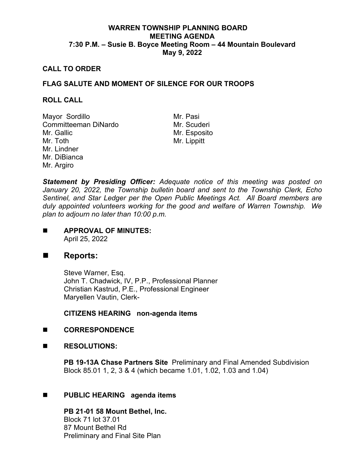# **WARREN TOWNSHIP PLANNING BOARD MEETING AGENDA 7:30 P.M. – Susie B. Boyce Meeting Room – 44 Mountain Boulevard May 9, 2022**

## **CALL TO ORDER**

# **FLAG SALUTE AND MOMENT OF SILENCE FOR OUR TROOPS**

#### **ROLL CALL**

Mayor Sordillo Mr. Pasi Committeeman DiNardo Mr. Gallic Mr. Toth Mr. Lindner Mr. DiBianca Mr. Argiro

Mr. Esposito Mr. Lippitt

*Statement by Presiding Officer: Adequate notice of this meeting was posted on January 20, 2022, the Township bulletin board and sent to the Township Clerk, Echo Sentinel, and Star Ledger per the Open Public Meetings Act. All Board members are duly appointed volunteers working for the good and welfare of Warren Township. We plan to adjourn no later than 10:00 p.m.*

**APPROVAL OF MINUTES:** April 25, 2022

# ■ Reports:

Steve Warner, Esq. John T. Chadwick, IV, P.P., Professional Planner Christian Kastrud, P.E., Professional Engineer Maryellen Vautin, Clerk-

**CITIZENS HEARING non-agenda items**

- **CORRESPONDENCE**
- **RESOLUTIONS:**

**PB 19-13A Chase Partners Site** Preliminary and Final Amended Subdivision Block 85.01 1, 2, 3 & 4 (which became 1.01, 1.02, 1.03 and 1.04)

## **PUBLIC HEARING agenda items**

**PB 21-01 58 Mount Bethel, Inc.** Block 71 lot 37.01 87 Mount Bethel Rd Preliminary and Final Site Plan